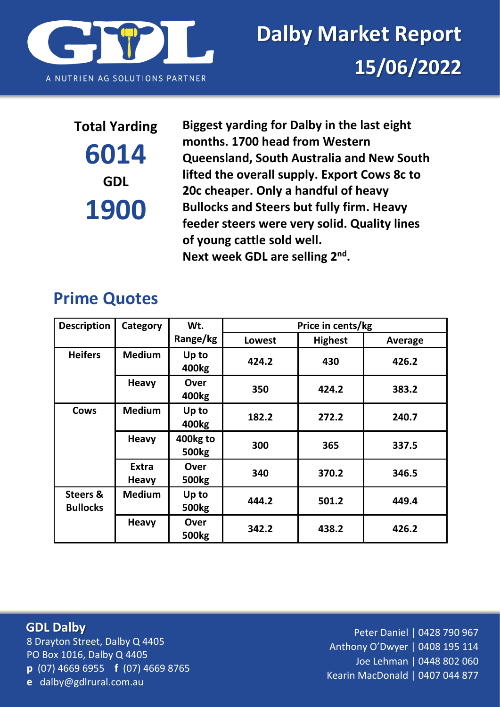

# **6014 GDL 1900**

**Total Yarding Biggest yarding for Dalby in the last eight months. 1700 head from Western Queensland, South Australia and New South lifted the overall supply. Export Cows 8c to 20c cheaper. Only a handful of heavy Bullocks and Steers but fully firm. Heavy feeder steers were very solid. Quality lines of young cattle sold well.**  Next week GDL are selling 2<sup>nd</sup>.

## **Prime Quotes**

| <b>Description</b>                     | Category                     | Wt.                        | Price in cents/kg |                |                |
|----------------------------------------|------------------------------|----------------------------|-------------------|----------------|----------------|
|                                        |                              | Range/kg                   | <b>Lowest</b>     | <b>Highest</b> | <b>Average</b> |
| <b>Heifers</b>                         | <b>Medium</b>                | Up to<br>400 <sub>kg</sub> | 424.2             | 430            | 426.2          |
|                                        | <b>Heavy</b>                 | Over<br>400kg              | 350               | 424.2          | 383.2          |
| <b>Cows</b>                            | <b>Medium</b>                | Up to<br>400 <sub>kg</sub> | 182.2             | 272.2          | 240.7          |
|                                        | <b>Heavy</b>                 | 400kg to<br><b>500kg</b>   | 300               | 365            | 337.5          |
|                                        | <b>Extra</b><br><b>Heavy</b> | Over<br><b>500kg</b>       | 340               | 370.2          | 346.5          |
| <b>Steers &amp;</b><br><b>Bullocks</b> | <b>Medium</b>                | Up to<br><b>500kg</b>      | 444.2             | 501.2          | 449.4          |
|                                        | <b>Heavy</b>                 | Over<br>500 <sub>kg</sub>  | 342.2             | 438.2          | 426.2          |

8 Drayton Street, Dalby Q 4405 PO Box 1016, Dalby Q 4405 **p** (07) 4669 6955 **f** (07) 4669 8765 **e** dalby@gdlrural.com.au **GDL Dalby**

Peter Daniel | 0428 790 967 Anthony O'Dwyer | 0408 195 114 Joe Lehman | 0448 802 060 Kearin MacDonald | 0407 044 877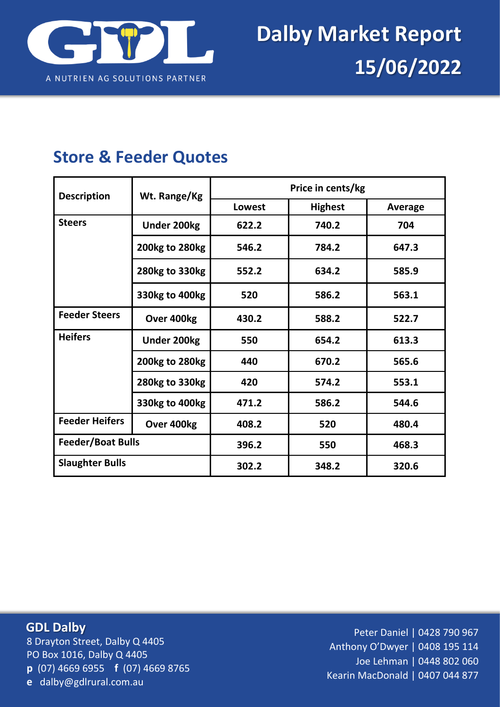

### **Store & Feeder Quotes**

| <b>Description</b>       | Wt. Range/Kg       | Price in cents/kg |                |         |  |
|--------------------------|--------------------|-------------------|----------------|---------|--|
|                          |                    | <b>Lowest</b>     | <b>Highest</b> | Average |  |
| <b>Steers</b>            | <b>Under 200kg</b> | 622.2             | 740.2          | 704     |  |
|                          | 200kg to 280kg     | 546.2             | 784.2          | 647.3   |  |
|                          | 280kg to 330kg     | 552.2             | 634.2          | 585.9   |  |
|                          | 330kg to 400kg     | 520               | 586.2          | 563.1   |  |
| <b>Feeder Steers</b>     | Over 400kg         | 430.2             | 588.2          | 522.7   |  |
| <b>Heifers</b>           | <b>Under 200kg</b> | 550               | 654.2          | 613.3   |  |
|                          | 200kg to 280kg     | 440               | 670.2          | 565.6   |  |
|                          | 280kg to 330kg     | 420               | 574.2          | 553.1   |  |
|                          | 330kg to 400kg     | 471.2             | 586.2          | 544.6   |  |
| <b>Feeder Heifers</b>    | Over 400kg         | 408.2             | 520            | 480.4   |  |
| <b>Feeder/Boat Bulls</b> |                    | 396.2             | 550            | 468.3   |  |
| <b>Slaughter Bulls</b>   |                    | 302.2             | 348.2          | 320.6   |  |

#### **GDL Dalby**

8 Drayton Street, Dalby Q 4405 PO Box 1016, Dalby Q 4405 **p** (07) 4669 6955 **f** (07) 4669 8765 **e** dalby@gdlrural.com.au

Peter Daniel | 0428 790 967 Anthony O'Dwyer | 0408 195 114 Joe Lehman | 0448 802 060 Kearin MacDonald | 0407 044 877